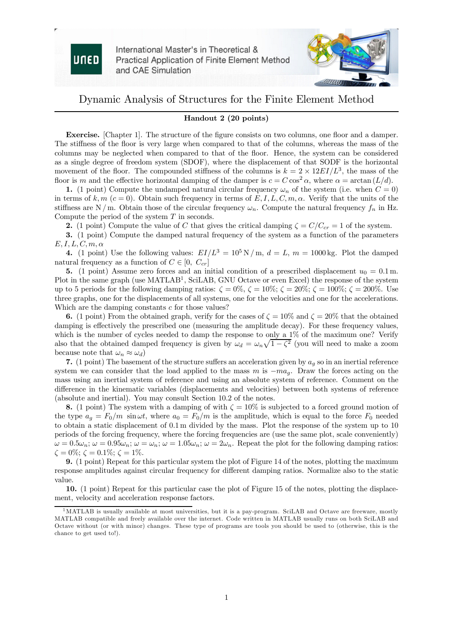

International Master's in Theoretical & Practical Application of Finite Element Method and CAE Simulation



## Dynamic Analysis of Structures for the Finite Element Method

## Handout 2 (20 points)

Exercise. [Chapter 1]. The structure of the figure consists on two columns, one floor and a damper. The stiffness of the floor is very large when compared to that of the columns, whereas the mass of the columns may be neglected when compared to that of the floor. Hence, the system can be considered as a single degree of freedom system (SDOF), where the displacement of that SODF is the horizontal movement of the floor. The compounded stiffness of the columns is  $k = 2 \times 12EI/L^3$ , the mass of the floor is m and the effective horizontal damping of the damper is  $c = C \cos^2 \alpha$ , where  $\alpha = \arctan(L/d)$ .

1. (1 point) Compute the undamped natural circular frequency  $\omega_n$  of the system (i.e. when  $C = 0$ ) in terms of k, m (c = 0). Obtain such frequency in terms of E, I, L, C, m,  $\alpha$ . Verify that the units of the stiffness are N / m. Obtain those of the circular frequency  $\omega_n$ . Compute the natural frequency  $f_n$  in Hz. Compute the period of the system T in seconds.

2. (1 point) Compute the value of C that gives the critical damping  $\zeta = C/C_{cr} = 1$  of the system.

3. (1 point) Compute the damped natural frequency of the system as a function of the parameters  $E, I, L, C, m, \alpha$ 

4. (1 point) Use the following values:  $EI/L^3 = 10^5 \text{ N/m}$ ,  $d = L$ ,  $m = 1000 \text{ kg}$ . Plot the damped natural frequency as a function of  $C \in [0, C_{cr}]$ 

5. (1 point) Assume zero forces and an initial condition of a prescribed displacement  $u_0 = 0.1$  m. Plot in the same graph (use MATLAB<sup>1</sup>, SciLAB, GNU Octave or even Excel) the response of the system up to 5 periods for the following damping ratios:  $\zeta = 0\%$ ,  $\zeta = 10\%$ ;  $\zeta = 20\%$ ;  $\zeta = 200\%$ . Use three graphs, one for the displacements of all systems, one for the velocities and one for the accelerations. Which are the damping constants  $c$  for those values?

6. (1 point) From the obtained graph, verify for the cases of  $\zeta = 10\%$  and  $\zeta = 20\%$  that the obtained damping is effectively the prescribed one (measuring the amplitude decay). For these frequency values, which is the number of cycles needed to damp the response to only a 1% of the maximum one? Verify also that the obtained damped frequency is given by  $\omega_d = \omega_n \sqrt{1-\zeta^2}$  (you will need to make a zoom because note that  $\omega_n \approx \omega_d$ )

7. (1 point) The basement of the structure suffers an acceleration given by  $a_g$  so in an inertial reference system we can consider that the load applied to the mass m is  $-ma<sub>g</sub>$ . Draw the forces acting on the mass using an inertial system of reference and using an absolute system of reference. Comment on the difference in the kinematic variables (displacements and velocities) between both systems of reference (absolute and inertial). You may consult Section 10.2 of the notes.

8. (1 point) The system with a damping of with  $\zeta = 10\%$  is subjected to a forced ground motion of the type  $a_q = F_0/m$  sin  $\omega t$ , where  $a_0 = F_0/m$  is the amplitude, which is equal to the force  $F_0$  needed to obtain a static displacement of 0.1 m divided by the mass. Plot the response of the system up to 10 periods of the forcing frequency, where the forcing frequencies are (use the same plot, scale conveniently)  $\omega = 0.5\omega_n$ ;  $\omega = 0.95\omega_n$ ;  $\omega = \omega_n$ ;  $\omega = 1.05\omega_n$ ;  $\omega = 2\omega_n$ . Repeat the plot for the following damping ratios:  $\zeta = 0\%$ ;  $\zeta = 0.1\%$ ;  $\zeta = 1\%$ .

9. (1 point) Repeat for this particular system the plot of Figure 14 of the notes, plotting the maximum response amplitudes against circular frequency for different damping ratios. Normalize also to the static value.

10. (1 point) Repeat for this particular case the plot of Figure 15 of the notes, plotting the displacement, velocity and acceleration response factors.

 $1<sup>1</sup>$ MATLAB is usually available at most universities, but it is a pay-program. SciLAB and Octave are freeware, mostly MATLAB compatible and freely available over the internet. Code written in MATLAB usually runs on both SciLAB and Octave without (or with minor) changes. These type of programs are tools you should be used to (otherwise, this is the chance to get used to!).